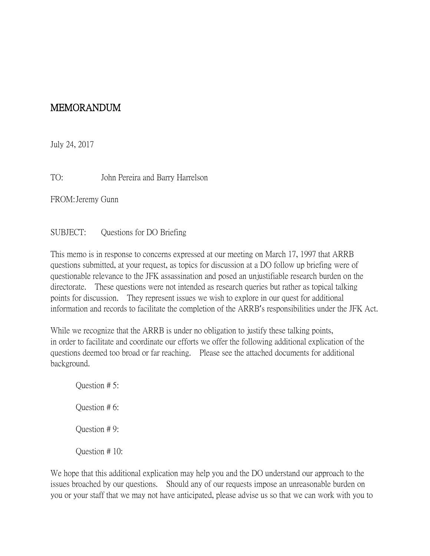## MEMORANDUM

July 24, 2017

TO: John Pereira and Barry Harrelson

FROM:Jeremy Gunn

## SUBJECT: Questions for DO Briefing

This memo is in response to concerns expressed at our meeting on March 17, 1997 that ARRB questions submitted, at your request, as topics for discussion at a DO follow up briefing were of questionable relevance to the JFK assassination and posed an unjustifiable research burden on the directorate. These questions were not intended as research queries but rather as topical talking points for discussion. They represent issues we wish to explore in our quest for additional information and records to facilitate the completion of the ARRB's responsibilities under the JFK Act.

While we recognize that the ARRB is under no obligation to justify these talking points, in order to facilitate and coordinate our efforts we offer the following additional explication of the questions deemed too broad or far reaching. Please see the attached documents for additional background.

Question # 5: Question # 6: Question # 9: Question # 10:

We hope that this additional explication may help you and the DO understand our approach to the issues broached by our questions. Should any of our requests impose an unreasonable burden on you or your staff that we may not have anticipated, please advise us so that we can work with you to